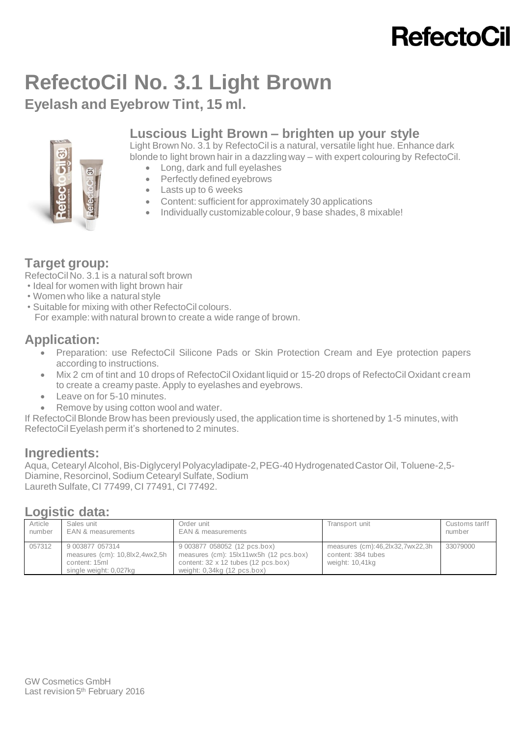# **RefectoCil**

# **RefectoCil No. 3.1 Light Brown**

**Eyelash and Eyebrow Tint, 15 ml.**

# ශි

### **Luscious Light Brown – brighten up your style**

Light Brown No. 3.1 by RefectoCil is a natural, versatile light hue. Enhance dark blonde to light brown hair in a dazzling way – with expert colouring by RefectoCil.

- Long, dark and full eyelashes
- Perfectly defined eyebrows
- Lasts up to 6 weeks
- Content: sufficient for approximately 30 applications
- Individually customizable colour, 9 base shades, 8 mixable!

## **Target group:**

RefectoCil No. 3.1 is a natural soft brown

- Ideal for women with light brown hair
- Women who like a natural style
- Suitable for mixing with other RefectoCil colours.
- For example: with natural brown to create a wide range of brown.

### **Application:**

- Preparation: use RefectoCil Silicone Pads or Skin Protection Cream and Eye protection papers according to instructions.
- Mix 2 cm of tint and 10 drops of [RefectoCil Oxidant liquid](http://en.refectocil.at/product/oxidant-3-fluessig/) or 15-20 drops of RefectoCil Oxidant cream to create a creamy paste. Apply to eyelashes and eyebrows.
- Leave on for 5-10 minutes.
- Remove by using cotton wool and water.

If RefectoCil Blonde Brow has been previously used, the application time is shortened by 1-5 minutes, with RefectoCil Eyelash perm it's shortened to 2 minutes.

## **Ingredients:**

Aqua, Cetearyl Alcohol, Bis-Diglyceryl Polyacyladipate-2, PEG-40 Hydrogenated Castor Oil, Toluene-2,5- Diamine, Resorcinol, Sodium Cetearyl Sulfate, Sodium Laureth Sulfate, CI 77499, CI 77491, CI 77492.

### **Logistic data:**

| Article | Sales unit                                                                                   | Order unit                                                                                                                                     | Transport unit                                                           | Customs tariff |
|---------|----------------------------------------------------------------------------------------------|------------------------------------------------------------------------------------------------------------------------------------------------|--------------------------------------------------------------------------|----------------|
| number  | EAN & measurements                                                                           | EAN & measurements                                                                                                                             |                                                                          | number         |
| 057312  | 9 003877 057314<br>measures (cm): 10,8lx2,4wx2,5h<br>content: 15ml<br>single weight: 0,027kg | 9 003877 058052 (12 pcs.box)<br>measures (cm): 15 x11wx5h (12 pcs.box)<br>content: 32 x 12 tubes (12 pcs.box)<br>weight: $0,34kg$ (12 pcs.box) | measures (cm):46,2lx32,7wx22,3h<br>content: 384 tubes<br>weight: 10,41kg | 33079000       |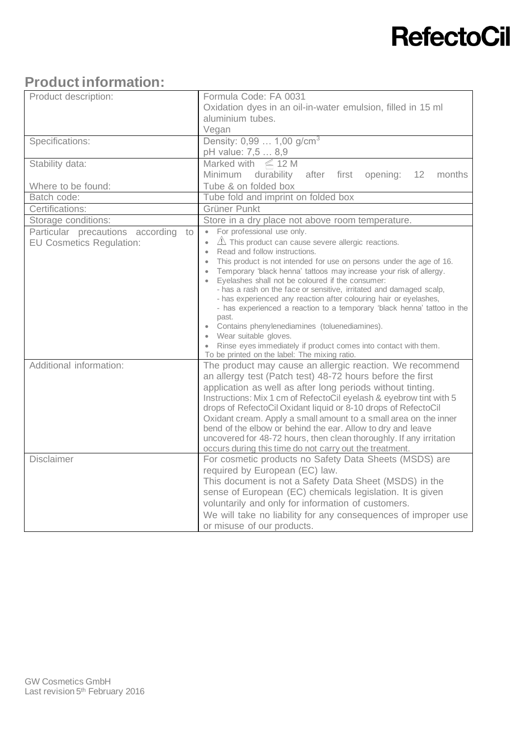# **RefectoCil**

# **Product information:**

| Product description:                   | Formula Code: FA 0031                                                                                                   |  |
|----------------------------------------|-------------------------------------------------------------------------------------------------------------------------|--|
|                                        | Oxidation dyes in an oil-in-water emulsion, filled in 15 ml                                                             |  |
|                                        | aluminium tubes.                                                                                                        |  |
|                                        | Vegan                                                                                                                   |  |
| Specifications:                        | Density: 0,99  1,00 g/cm <sup>3</sup>                                                                                   |  |
|                                        | pH value: 7,5  8,9                                                                                                      |  |
| Stability data:                        | Marked with $\leq 12$ M                                                                                                 |  |
|                                        | Minimum durability<br>after<br>first<br>opening:<br>12<br>months                                                        |  |
| Where to be found:                     | Tube & on folded box                                                                                                    |  |
| Batch code:                            | Tube fold and imprint on folded box                                                                                     |  |
| Certifications:                        | Grüner Punkt                                                                                                            |  |
| Storage conditions:                    | Store in a dry place not above room temperature.                                                                        |  |
| Particular precautions according<br>to | For professional use only.<br>$\bullet$                                                                                 |  |
| <b>EU Cosmetics Regulation:</b>        | $\mathbb{A}$ This product can cause severe allergic reactions.<br>$\bullet$                                             |  |
|                                        | Read and follow instructions.<br>$\bullet$                                                                              |  |
|                                        | This product is not intended for use on persons under the age of 16.<br>$\bullet$                                       |  |
|                                        | Temporary 'black henna' tattoos may increase your risk of allergy.<br>$\bullet$<br>$\bullet$                            |  |
|                                        | Eyelashes shall not be coloured if the consumer:<br>- has a rash on the face or sensitive, irritated and damaged scalp, |  |
|                                        | - has experienced any reaction after colouring hair or eyelashes,                                                       |  |
|                                        | - has experienced a reaction to a temporary 'black henna' tattoo in the                                                 |  |
|                                        | past.                                                                                                                   |  |
|                                        | • Contains phenylenediamines (toluenediamines).                                                                         |  |
|                                        | Wear suitable gloves.                                                                                                   |  |
|                                        | • Rinse eyes immediately if product comes into contact with them.<br>To be printed on the label: The mixing ratio.      |  |
| Additional information:                | The product may cause an allergic reaction. We recommend                                                                |  |
|                                        | an allergy test (Patch test) 48-72 hours before the first                                                               |  |
|                                        | application as well as after long periods without tinting.                                                              |  |
|                                        | Instructions: Mix 1 cm of RefectoCil eyelash & eyebrow tint with 5                                                      |  |
|                                        | drops of RefectoCil Oxidant liquid or 8-10 drops of RefectoCil                                                          |  |
|                                        | Oxidant cream. Apply a small amount to a small area on the inner                                                        |  |
|                                        | bend of the elbow or behind the ear. Allow to dry and leave                                                             |  |
|                                        | uncovered for 48-72 hours, then clean thoroughly. If any irritation                                                     |  |
|                                        | occurs during this time do not carry out the treatment.                                                                 |  |
| <b>Disclaimer</b>                      | For cosmetic products no Safety Data Sheets (MSDS) are                                                                  |  |
|                                        | required by European (EC) law.                                                                                          |  |
|                                        | This document is not a Safety Data Sheet (MSDS) in the                                                                  |  |
|                                        | sense of European (EC) chemicals legislation. It is given                                                               |  |
|                                        | voluntarily and only for information of customers.                                                                      |  |
|                                        | We will take no liability for any consequences of improper use                                                          |  |
|                                        | or misuse of our products.                                                                                              |  |